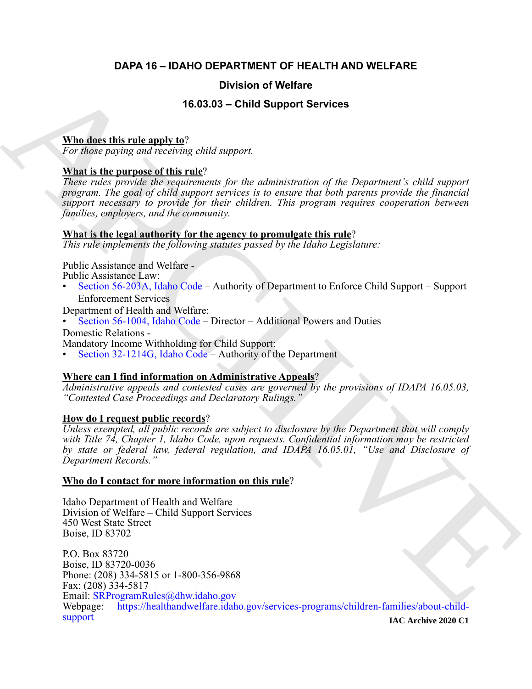## **DAPA 16 – IDAHO DEPARTMENT OF HEALTH AND WELFARE**

## **Division of Welfare**

## **16.03.03 – Child Support Services**

## **Who does this rule apply to**?

*For those paying and receiving child support.*

## **What is the purpose of this rule**?

*These rules provide the requirements for the administration of the Department's child support program. The goal of child support services is to ensure that both parents provide the financial support necessary to provide for their children. This program requires cooperation between families, employers, and the community.*

## **What is the legal authority for the agency to promulgate this rule**?

*This rule implements the following statutes passed by the Idaho Legislature:*

Public Assistance and Welfare -

Public Assistance Law:

• Section 56-203A, Idaho Code – Authority of Department to Enforce Child Support – Support Enforcement Services

Department of Health and Welfare:

• Section 56-1004, Idaho Code – Director – Additional Powers and Duties

Domestic Relations -

Mandatory Income Withholding for Child Support:

• Section 32-1214G, Idaho Code – Authority of the Department

## **Where can I find information on Administrative Appeals**?

*Administrative appeals and contested cases are governed by the provisions of IDAPA 16.05.03, "Contested Case Proceedings and Declaratory Rulings."*

## **How do I request public records**?

*Unless exempted, all public records are subject to disclosure by the Department that will comply with Title 74, Chapter 1, Idaho Code, upon requests. Confidential information may be restricted by state or federal law, federal regulation, and IDAPA 16.05.01, "Use and Disclosure of Department Records."*

## **Who do I contact for more information on this rule**?

Idaho Department of Health and Welfare Division of Welfare – Child Support Services 450 West State Street Boise, ID 83702

**19. CONSULT[E](mailto:SRProgramRules@dhw.idaho.gov)R (2008) CONSULTER CONTRACT CONTRACT CONTRACT CONTRACT CONTRACT CONTRACT CONTRACT CONTRACT CONTRACT CONTRACT CONTRACT CONTRACT CONTRACT CONTRACT CONTRACT CONTRACT CONTRACT CONTRACT CONTRACT CONTRACT CONTR** P.O. Box 83720 Boise, ID 83720-0036 Phone: (208) 334-5815 or 1-800-356-9868 Fax: (208) 334-5817 Email: SRProgramRules@dhw.idaho.gov Webpage: [h](https://healthandwelfare.idaho.gov/services-programs/children-families/about-child-support)ttps://healthandwelfare.idaho.gov/services-programs/children-families/about-childsupport **IAC Archive 2020 C1**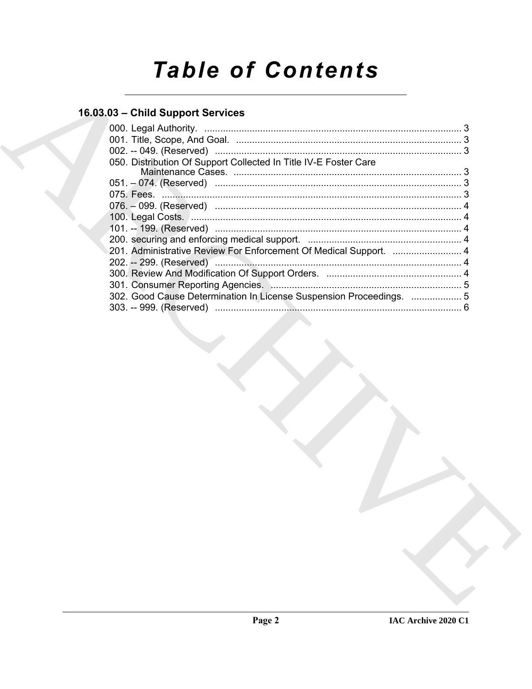# **Table of Contents**

## 16.03.03 - Child Support Services

| 050. Distribution Of Support Collected In Title IV-E Foster Care    |  |
|---------------------------------------------------------------------|--|
|                                                                     |  |
|                                                                     |  |
|                                                                     |  |
|                                                                     |  |
|                                                                     |  |
|                                                                     |  |
| 201. Administrative Review For Enforcement Of Medical Support.  4   |  |
|                                                                     |  |
|                                                                     |  |
|                                                                     |  |
| 302. Good Cause Determination In License Suspension Proceedings.  5 |  |
|                                                                     |  |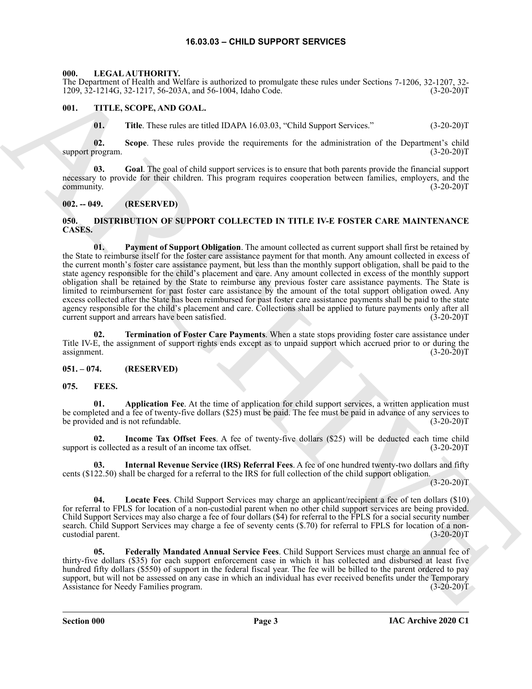#### **16.03.03 – CHILD SUPPORT SERVICES**

#### <span id="page-2-16"></span><span id="page-2-1"></span><span id="page-2-0"></span>**000. LEGAL AUTHORITY.**

The Department of Health and Welfare is authorized to promulgate these rules under Sections 7-1206, 32-1207, 32- 1209, 32-1214G, 32-1217, 56-203A, and 56-1004, Idaho Code. (3-20-20)T

#### <span id="page-2-2"></span>**001. TITLE, SCOPE, AND GOAL.**

<span id="page-2-17"></span>**01.** Title. These rules are titled IDAPA 16.03.03, "Child Support Services." (3-20-20)T

**02.** Scope. These rules provide the requirements for the administration of the Department's child orogram.  $(3-20-20)$ support program.

**03. Goal**. The goal of child support services is to ensure that both parents provide the financial support necessary to provide for their children. This program requires cooperation between families, employers, and the community. (3-20-20)T community. (3-20-20)T

#### <span id="page-2-3"></span>**002. -- 049. (RESERVED)**

#### <span id="page-2-8"></span><span id="page-2-7"></span><span id="page-2-4"></span>**050. DISTRIBUTION OF SUPPORT COLLECTED IN TITLE IV-E FOSTER CARE MAINTENANCE CASES.**

The Viewer and the base measurement is the second of the measurement of the second 7-1208, 22-1207<br>
ARCHIVES COPE AND COLL.<br>
This This The Theoretics will be a state provide the second September Services "<br>
(1. This Theor **01. Payment of Support Obligation**. The amount collected as current support shall first be retained by the State to reimburse itself for the foster care assistance payment for that month. Any amount collected in excess of the current month's foster care assistance payment, but less than the monthly support obligation, shall be paid to the state agency responsible for the child's placement and care. Any amount collected in excess of the monthly support obligation shall be retained by the State to reimburse any previous foster care assistance payments. The State is limited to reimbursement for past foster care assistance by the amount of the total support obligation owed. Any excess collected after the State has been reimbursed for past foster care assistance payments shall be paid to the state agency responsible for the child's placement and care. Collections shall be applied to future payments only after all current support and arrears have been satisfied. (3-20-20)T

<span id="page-2-9"></span>**02. Termination of Foster Care Payments**. When a state stops providing foster care assistance under Title IV-E, the assignment of support rights ends except as to unpaid support which accrued prior to or during the  $\alpha$ ssignment. (3-20-20)T

#### <span id="page-2-5"></span>**051. – 074. (RESERVED)**

#### <span id="page-2-10"></span><span id="page-2-6"></span>**075. FEES.**

<span id="page-2-11"></span>**01. Application Fee**. At the time of application for child support services, a written application must be completed and a fee of twenty-five dollars (\$25) must be paid. The fee must be paid in advance of any services to be provided and is not refundable. (3-20-20) be provided and is not refundable.

<span id="page-2-13"></span>**02. Income Tax Offset Fees**. A fee of twenty-five dollars (\$25) will be deducted each time child support is collected as a result of an income tax offset. (3-20-20)T

<span id="page-2-14"></span>**03. Internal Revenue Service (IRS) Referral Fees**. A fee of one hundred twenty-two dollars and fifty cents (\$122.50) shall be charged for a referral to the IRS for full collection of the child support obligation.

 $(3-20-20)T$ 

<span id="page-2-15"></span>**04. Locate Fees**. Child Support Services may charge an applicant/recipient a fee of ten dollars (\$10) for referral to FPLS for location of a non-custodial parent when no other child support services are being provided. Child Support Services may also charge a fee of four dollars (\$4) for referral to the FPLS for a social security number search. Child Support Services may charge a fee of seventy cents (\$.70) for referral to FPLS for location of a noncustodial parent. (3-20-20)T

<span id="page-2-12"></span>**05. Federally Mandated Annual Service Fees**. Child Support Services must charge an annual fee of thirty-five dollars (\$35) for each support enforcement case in which it has collected and disbursed at least five hundred fifty dollars (\$550) of support in the federal fiscal year. The fee will be billed to the parent ordered to pay support, but will not be assessed on any case in which an individual has ever received benefits under the Temporary Assistance for Needy Families program. (3-20-20)T

**Section 000 Page 3**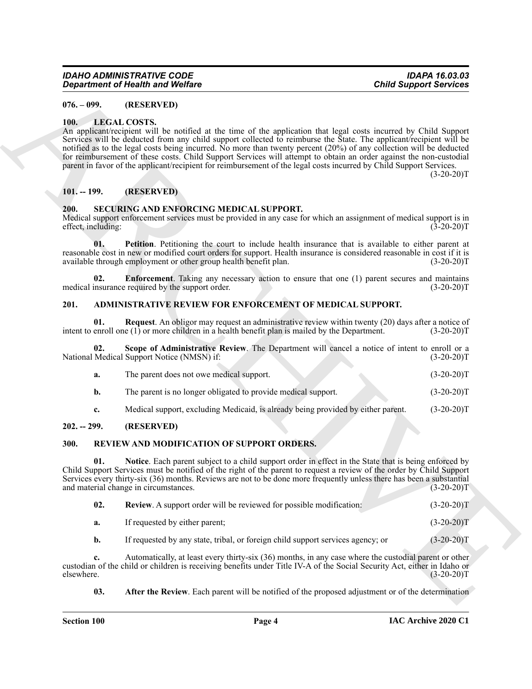### <span id="page-3-0"></span>**076. – 099. (RESERVED)**

#### <span id="page-3-10"></span><span id="page-3-1"></span>**100. LEGAL COSTS.**

**Contact of Newton Solve Models**<br>
We consider the specifical term is a specifical term is a specifical term is a specifical term is a specifical term is a specifical term is a specifical term is a specifical term is a spe An applicant/recipient will be notified at the time of the application that legal costs incurred by Child Support Services will be deducted from any child support collected to reimburse the State. The applicant/recipient will be notified as to the legal costs being incurred. No more than twenty percent (20%) of any collection will be deducted for reimbursement of these costs. Child Support Services will attempt to obtain an order against the non-custodial parent in favor of the applicant/recipient for reimbursement of the legal costs incurred by Child Support Services.

 $(3-20-20)T$ 

#### <span id="page-3-2"></span>**101. -- 199. (RESERVED)**

#### <span id="page-3-15"></span><span id="page-3-3"></span>**200. SECURING AND ENFORCING MEDICAL SUPPORT.**

Medical support enforcement services must be provided in any case for which an assignment of medical support is in effect, including: (3-20-20)T

<span id="page-3-17"></span>**01. Petition**. Petitioning the court to include health insurance that is available to either parent at reasonable cost in new or modified court orders for support. Health insurance is considered reasonable in cost if it is available through employment or other group health benefit plan. (3-20-20)T

<span id="page-3-16"></span>**02. Enforcement**. Taking any necessary action to ensure that one (1) parent secures and maintains insurance required by the support order.  $(3-20-20)$ medical insurance required by the support order.

#### <span id="page-3-7"></span><span id="page-3-4"></span>**201. ADMINISTRATIVE REVIEW FOR ENFORCEMENT OF MEDICAL SUPPORT.**

<span id="page-3-8"></span>**01. Request**. An obligor may request an administrative review within twenty (20) days after a notice of intent to enroll one (1) or more children in a health benefit plan is mailed by the Department. (3-20-20)T

**02. Scope of Administrative Review**. The Department will cancel a notice of intent to enroll or a National Medical Support Notice (NMSN) if: (3-20-20)T

<span id="page-3-9"></span>

| The parent does not owe medical support. | $(3-20-20)T$ |
|------------------------------------------|--------------|
|                                          |              |

**b.** The parent is no longer obligated to provide medical support. (3-20-20)T

<span id="page-3-13"></span><span id="page-3-11"></span>**c.** Medical support, excluding Medicaid, is already being provided by either parent. (3-20-20)T

#### <span id="page-3-5"></span>**202. -- 299. (RESERVED)**

#### <span id="page-3-6"></span>**300. REVIEW AND MODIFICATION OF SUPPORT ORDERS.**

**01.** Notice. Each parent subject to a child support order in effect in the State that is being enforced by Child Support Services must be notified of the right of the parent to request a review of the order by Child Support Services every thirty-six (36) months. Reviews are not to be done more frequently unless there has been a substantial and material change in circumstances. (3-20-20) and material change in circumstances.

<span id="page-3-14"></span>

| 02. | <b>Review.</b> A support order will be reviewed for possible modification:      | $(3-20-20)T$ |
|-----|---------------------------------------------------------------------------------|--------------|
| а.  | If requested by either parent;                                                  | $(3-20-20)T$ |
|     | If requested by any state, tribal, or foreign child support services agency; or | $(3-20-20)T$ |

**c.** Automatically, at least every thirty-six (36) months, in any case where the custodial parent or other custodian of the child or children is receiving benefits under Title IV-A of the Social Security Act, either in Idaho or elsewhere. (3-20-20)T

<span id="page-3-12"></span>**03.** After the Review. Each parent will be notified of the proposed adjustment or of the determination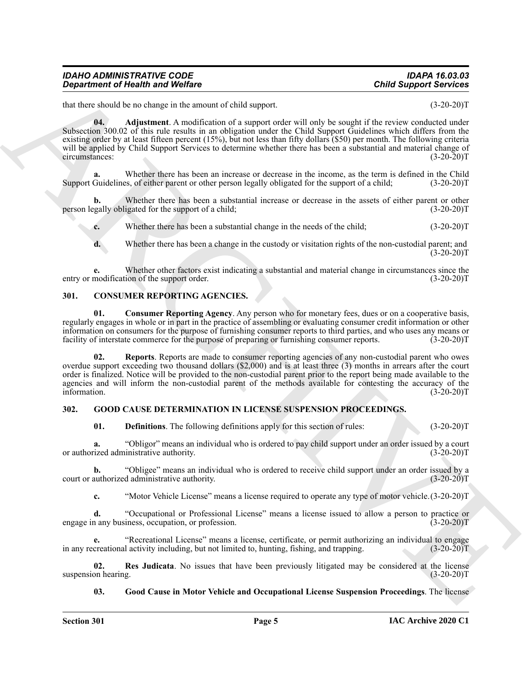|                |  |  | will be applied by Child Support Services to determine whether there has been a substantial and material change of |
|----------------|--|--|--------------------------------------------------------------------------------------------------------------------|
| circumstances: |  |  | $(3-20-20)T$                                                                                                       |
|                |  |  | $A = 1$ $A = 1$ $A = 1$ $A = 1$                                                                                    |

**a.** Whether there has been an increase or decrease in the income, as the term is defined in the Child Support Guidelines, of either parent or other person legally obligated for the support of a child; (3-20-20)T

Subsection 300.02 of this rule results in an obligation under the Child Support Guidelines which differs from the existing order by at least fifteen percent (15%), but not less than fifty dollars (\$50) per month. The following criteria

**b.** Whether there has been a substantial increase or decrease in the assets of either parent or other gally obligated for the support of a child; (3-20-20) person legally obligated for the support of a child;

**c.** Whether there has been a substantial change in the needs of the child; (3-20-20)T

**d.** Whether there has been a change in the custody or visitation rights of the non-custodial parent; and  $(3-20-20)T$ 

<span id="page-4-9"></span>**04. Adjustment**. A modification of a support order will only be sought if the review conducted under

**e.** Whether other factors exist indicating a substantial and material change in circumstances since the entry or modification of the support order. (3-20-20)T

## <span id="page-4-2"></span><span id="page-4-0"></span>**301. CONSUMER REPORTING AGENCIES.**

<span id="page-4-4"></span><span id="page-4-3"></span>**01. Consumer Reporting Agency**. Any person who for monetary fees, dues or on a cooperative basis, regularly engages in whole or in part in the practice of assembling or evaluating consumer credit information or other information on consumers for the purpose of furnishing consumer reports to third parties, and who uses any means or facility of interstate commerce for the purpose of preparing or furnishing consumer reports. (3-20-20) facility of interstate commerce for the purpose of preparing or furnishing consumer reports.

**Contact of Nearly we determine we deliver and the strength of the strength of the strength of the strength of the strength of the strength of the strength of the strength of the strength of the strength of the strength o 02. Reports**. Reports are made to consumer reporting agencies of any non-custodial parent who owes overdue support exceeding two thousand dollars (\$2,000) and is at least three (3) months in arrears after the court order is finalized. Notice will be provided to the non-custodial parent prior to the report being made available to the agencies and will inform the non-custodial parent of the methods available for contesting the accuracy of the information. (3-20-20) information.  $(3-20-20)T$ 

## <span id="page-4-1"></span>**302. GOOD CAUSE DETERMINATION IN LICENSE SUSPENSION PROCEEDINGS.**

<span id="page-4-6"></span><span id="page-4-5"></span>**01. Definitions**. The following definitions apply for this section of rules: (3-20-20)T

**a.** "Obligor" means an individual who is ordered to pay child support under an order issued by a court or authorized administrative authority.

**b.** "Obligee" means an individual who is ordered to receive child support under an order issued by a authorized administrative authority.  $(3-20-20)T$ court or authorized administrative authority.

**c.** "Motor Vehicle License" means a license required to operate any type of motor vehicle.(3-20-20)T

**d.** "Occupational or Professional License" means a license issued to allow a person to practice or any business, occupation, or profession. engage in any business, occupation, or profession.

**e.** "Recreational License" means a license, certificate, or permit authorizing an individual to engage in any recreational activity including, but not limited to, hunting, fishing, and trapping. (3-20-20)T

**02.** Res Judicata. No issues that have been previously litigated may be considered at the license on hearing. (3-20-20) suspension hearing.

<span id="page-4-8"></span><span id="page-4-7"></span>**03. Good Cause in Motor Vehicle and Occupational License Suspension Proceedings**. The license

that there should be no change in the amount of child support. (3-20-20)T

*IDAHO ADMINISTRATIVE CODE IDAPA 16.03.03 Department of Health and Welfare*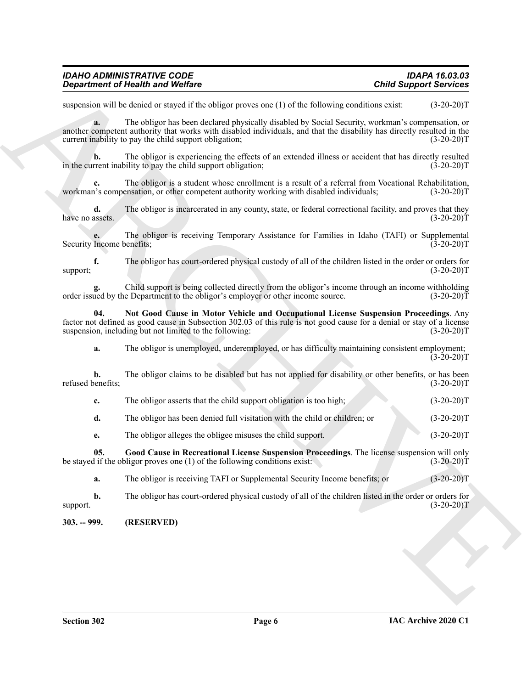| <b>IDAHO ADMINISTRATIVE CODE</b> | <b>IDAPA 16.03.03</b>         |
|----------------------------------|-------------------------------|
| Department of Health and Welfare | <b>Child Support Services</b> |

suspension will be denied or stayed if the obligor proves one (1) of the following conditions exist: (3-20-20)T

**Christ Suppose Control is the Unitedevelope Control in the United Suppose Convertise of the United Suppose Convertise Control in the United Suppose Convertise Control in the United Suppose Convertise Convertise Convertis a.** The obligor has been declared physically disabled by Social Security, workman's compensation, or another competent authority that works with disabled individuals, and that the disability has directly resulted in the current inability to pay the child support obligation; (3-20-20)T

**b.** The obligor is experiencing the effects of an extended illness or accident that has directly resulted rent inability to pay the child support obligation; (3-20-20) in the current inability to pay the child support obligation;

The obligor is a student whose enrollment is a result of a referral from Vocational Rehabilitation, or other competent authority working with disabled individuals; (3-20-20)T workman's compensation, or other competent authority working with disabled individuals;

**d.** The obligor is incarcerated in any county, state, or federal correctional facility, and proves that they have no assets. (3-20-20)T

**e.** The obligor is receiving Temporary Assistance for Families in Idaho (TAFI) or Supplemental Income benefits; (3-20-20)T Security Income benefits;

**f.** The obligor has court-ordered physical custody of all of the children listed in the order or orders for (3-20-20) support; (3-20-20)T

Child support is being collected directly from the obligor's income through an income withholding e Department to the obligor's employer or other income source. (3-20-20)<sup>T</sup> order issued by the Department to the obligor's employer or other income source.

**04. Not Good Cause in Motor Vehicle and Occupational License Suspension Proceedings**. Any factor not defined as good cause in Subsection 302.03 of this rule is not good cause for a denial or stay of a license suspension, including but not limited to the following: (3-20-20)T

<span id="page-5-2"></span>**a.** The obligor is unemployed, underemployed, or has difficulty maintaining consistent employment;  $(3-20-20)T$ 

**b.** The obligor claims to be disabled but has not applied for disability or other benefits, or has been refused benefits; (3-20-20)T

|  | The obligor asserts that the child support obligation is too high; | $(3-20-20)T$ |
|--|--------------------------------------------------------------------|--------------|
|--|--------------------------------------------------------------------|--------------|

**d.** The obligor has been denied full visitation with the child or children; or (3-20-20)T

<span id="page-5-1"></span>**e.** The obligor alleges the obligee misuses the child support. (3-20-20)T

**05. Good Cause in Recreational License Suspension Proceedings**. The license suspension will only be stayed if the obligor proves one (1) of the following conditions exist: (3-20-20)T

**a.** The obligor is receiving TAFI or Supplemental Security Income benefits; or  $(3-20-20)$ T

**b.** The obligor has court-ordered physical custody of all of the children listed in the order or orders for support.  $(3-20-20)T$ 

<span id="page-5-0"></span>**303. -- 999. (RESERVED)**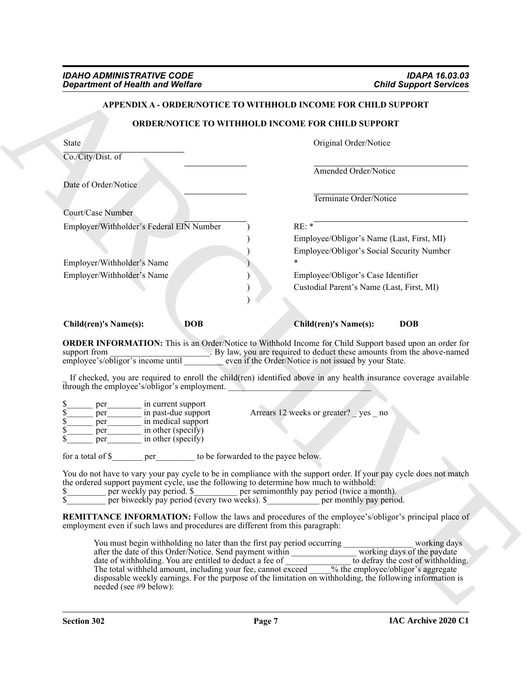*IDAHO ADMINISTRATIVE CODE IDAPA 16.03.03 Department of Health and Welfare* 

### **APPENDIX A - ORDER/NOTICE TO WITHHOLD INCOME FOR CHILD SUPPORT**

#### **ORDER/NOTICE TO WITHHOLD INCOME FOR CHILD SUPPORT**

|                                                                                                                          | <b>APPENDIX A - ORDER/NOTICE TO WITHHOLD INCOME FOR CHILD SUPPORT</b>                                                                                                                                                                              |
|--------------------------------------------------------------------------------------------------------------------------|----------------------------------------------------------------------------------------------------------------------------------------------------------------------------------------------------------------------------------------------------|
|                                                                                                                          | ORDER/NOTICE TO WITHHOLD INCOME FOR CHILD SUPPORT                                                                                                                                                                                                  |
| State                                                                                                                    | Original Order/Notice                                                                                                                                                                                                                              |
|                                                                                                                          |                                                                                                                                                                                                                                                    |
| Co./City/Dist. of                                                                                                        |                                                                                                                                                                                                                                                    |
|                                                                                                                          | Amended Order/Notice                                                                                                                                                                                                                               |
| Date of Order/Notice                                                                                                     |                                                                                                                                                                                                                                                    |
|                                                                                                                          | Terminate Order/Notice                                                                                                                                                                                                                             |
| Court/Case Number                                                                                                        |                                                                                                                                                                                                                                                    |
| Employer/Withholder's Federal EIN Number                                                                                 | RE:                                                                                                                                                                                                                                                |
|                                                                                                                          | Employee/Obligor's Name (Last, First, MI)                                                                                                                                                                                                          |
|                                                                                                                          | Employee/Obligor's Social Security Number                                                                                                                                                                                                          |
| Employer/Withholder's Name                                                                                               |                                                                                                                                                                                                                                                    |
| Employer/Withholder's Name                                                                                               | Employee/Obligor's Case Identifier                                                                                                                                                                                                                 |
|                                                                                                                          | Custodial Parent's Name (Last, First, MI)                                                                                                                                                                                                          |
|                                                                                                                          |                                                                                                                                                                                                                                                    |
| <b>DOB</b><br>Child(ren)'s Name(s):                                                                                      | <b>DOB</b><br>Child(ren)'s Name(s):                                                                                                                                                                                                                |
|                                                                                                                          |                                                                                                                                                                                                                                                    |
| support from<br>employee's/obligor's income until                                                                        | <b>ORDER INFORMATION:</b> This is an Order/Notice to Withhold Income for Child Support based upon an order for<br>. By law, you are required to deduct these amounts from the above-named<br>even if the Order/Notice is not issued by your State. |
| through the employee's/obligor's employment.                                                                             | If checked, you are required to enroll the child(ren) identified above in any health insurance coverage available                                                                                                                                  |
|                                                                                                                          |                                                                                                                                                                                                                                                    |
| S<br>in current support<br>per<br>in past-due support<br>per                                                             | Arrears 12 weeks or greater? yes no                                                                                                                                                                                                                |
| in medical support<br>per                                                                                                |                                                                                                                                                                                                                                                    |
| in other (specify)<br>per<br>in other (specify)<br>per                                                                   |                                                                                                                                                                                                                                                    |
| for a total of \$<br>per                                                                                                 | to be forwarded to the payee below.                                                                                                                                                                                                                |
|                                                                                                                          |                                                                                                                                                                                                                                                    |
| the ordered support payment cycle, use the following to determine how much to withhold:                                  | You do not have to vary your pay cycle to be in compliance with the support order. If your pay cycle does not match                                                                                                                                |
| per weekly pay period. \$<br>\$                                                                                          | per semimonthly pay period (twice a month).                                                                                                                                                                                                        |
| per biweekly pay period (every two weeks). \$                                                                            | per monthly pay period.                                                                                                                                                                                                                            |
| employment even if such laws and procedures are different from this paragraph:                                           | <b>REMITTANCE INFORMATION:</b> Follow the laws and procedures of the employee's/obligor's principal place of                                                                                                                                       |
| You must begin withholding no later than the first pay period occurring                                                  | working days                                                                                                                                                                                                                                       |
| after the date of this Order/Notice. Send payment within                                                                 | working days of the paydate                                                                                                                                                                                                                        |
| date of withholding. You are entitled to deduct a fee of<br>The total withheld amount, including your fee, cannot exceed | to defray the cost of withholding.<br>% the employee/obligor's aggregate<br>disposable weekly earnings. For the purpose of the limitation on withholding, the following information is                                                             |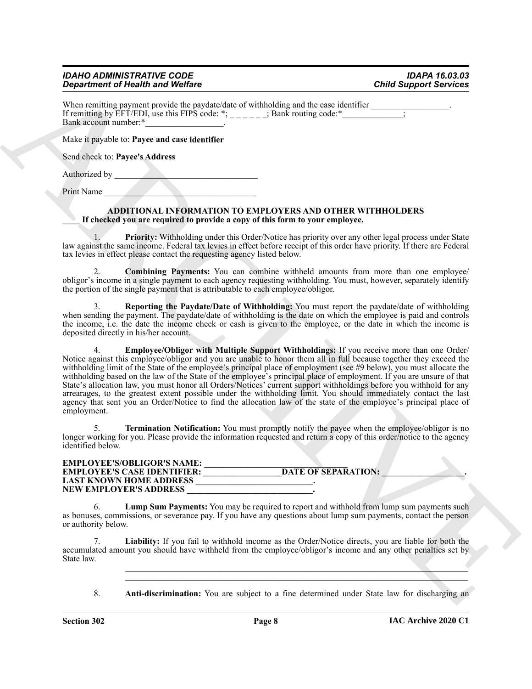#### *IDAHO ADMINISTRATIVE CODE IDAPA 16.03.03 Department of Health and Welfare*

| When remitting payment provide the paydate/date of withholding and the case identifier |  |
|----------------------------------------------------------------------------------------|--|
| If remitting by EFT/EDI, use this FIPS code: *; 3. Bank routing code: *                |  |
| Bank account number:*                                                                  |  |

Make it payable to: **Payee and case identifier**

Send check to: **Payee's Address**

Authorized by

Print Name

#### **ADDITIONAL INFORMATION TO EMPLOYERS AND OTHER WITHHOLDERS \_\_\_\_ If checked you are required to provide a copy of this form to your employee.**

Priority: Withholding under this Order/Notice has priority over any other legal process under State law against the same income. Federal tax levies in effect before receipt of this order have priority. If there are Federal tax levies in effect please contact the requesting agency listed below.

2. **Combining Payments:** You can combine withheld amounts from more than one employee/ obligor's income in a single payment to each agency requesting withholding. You must, however, separately identify the portion of the single payment that is attributable to each employee/obligor.

3. **Reporting the Paydate/Date of Withholding:** You must report the paydate/date of withholding when sending the payment. The paydate/date of withholding is the date on which the employee is paid and controls the income, i.e. the date the income check or cash is given to the employee, or the date in which the income is deposited directly in his/her account.

**Could Support Secretary in Welling Constraint Controller and the constraints of the constraints of the constraints of the constraints of the constraints of the constraints of the constraints of the constraints of the con** 4. **Employee/Obligor with Multiple Support Withholdings:** If you receive more than one Order/ Notice against this employee/obligor and you are unable to honor them all in full because together they exceed the withholding limit of the State of the employee's principal place of employment (see #9 below), you must allocate the withholding based on the law of the State of the employee's principal place of employment. If you are unsure of that State's allocation law, you must honor all Orders/Notices' current support withholdings before you withhold for any arrearages, to the greatest extent possible under the withholding limit. You should immediately contact the last agency that sent you an Order/Notice to find the allocation law of the state of the employee's principal place of employment.

5. **Termination Notification:** You must promptly notify the payee when the employee/obligor is no longer working for you. Please provide the information requested and return a copy of this order/notice to the agency identified below.

| <b>EMPLOYEE'S/OBLIGOR'S NAME:</b>  |                            |  |
|------------------------------------|----------------------------|--|
| <b>EMPLOYEE'S CASE IDENTIFIER:</b> | <b>DATE OF SEPARATION:</b> |  |
| <b>LAST KNOWN HOME ADDRESS</b>     |                            |  |
| <b>NEW EMPLOYER'S ADDRESS</b>      |                            |  |

6. **Lump Sum Payments:** You may be required to report and withhold from lump sum payments such as bonuses, commissions, or severance pay. If you have any questions about lump sum payments, contact the person or authority below.

7. **Liability:** If you fail to withhold income as the Order/Notice directs, you are liable for both the accumulated amount you should have withheld from the employee/obligor's income and any other penalties set by State law.  $\mathcal{L}_\mathcal{L} = \mathcal{L}_\mathcal{L} = \mathcal{L}_\mathcal{L} = \mathcal{L}_\mathcal{L} = \mathcal{L}_\mathcal{L} = \mathcal{L}_\mathcal{L} = \mathcal{L}_\mathcal{L} = \mathcal{L}_\mathcal{L} = \mathcal{L}_\mathcal{L} = \mathcal{L}_\mathcal{L} = \mathcal{L}_\mathcal{L} = \mathcal{L}_\mathcal{L} = \mathcal{L}_\mathcal{L} = \mathcal{L}_\mathcal{L} = \mathcal{L}_\mathcal{L} = \mathcal{L}_\mathcal{L} = \mathcal{L}_\mathcal{L}$ 

8. **Anti-discrimination:** You are subject to a fine determined under State law for discharging an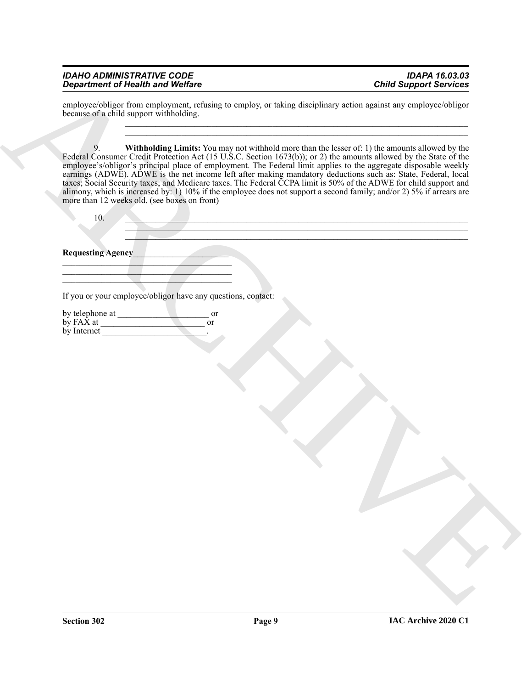#### *IDAHO ADMINISTRATIVE CODE IDAPA 16.03.03 Department of Health and Welfare*

| <b>Department of Health and Welfare</b>                                                                                                                                                                                                                                                                                                                                                                                                                                                                                                                                                                                                                   | <b>Child Support Services</b>                                                                                          |
|-----------------------------------------------------------------------------------------------------------------------------------------------------------------------------------------------------------------------------------------------------------------------------------------------------------------------------------------------------------------------------------------------------------------------------------------------------------------------------------------------------------------------------------------------------------------------------------------------------------------------------------------------------------|------------------------------------------------------------------------------------------------------------------------|
| employee/obligor from employment, refusing to employ, or taking disciplinary action against any employee/obligor<br>because of a child support withholding.                                                                                                                                                                                                                                                                                                                                                                                                                                                                                               |                                                                                                                        |
| 9.<br>Federal Consumer Credit Protection Act (15 U.S.C. Section 1673(b)); or 2) the amounts allowed by the State of the employee's/obligor's principal place of employment. The Federal limit applies to the aggregate disposable we<br>earnings (ADWE). ADWE is the net income left after making mandatory deductions such as: State, Federal, local<br>taxes; Social Security taxes; and Medicare taxes. The Federal CCPA limit is 50% of the ADWE for child support and<br>alimony, which is increased by: 1) 10% if the employee does not support a second family; and/or 2) 5% if arrears are<br>more than 12 weeks old. (see boxes on front)<br>10. | Withholding Limits: You may not withhold more than the lesser of: 1) the amounts allowed by the                        |
|                                                                                                                                                                                                                                                                                                                                                                                                                                                                                                                                                                                                                                                           | <u> 1989 - Johann Stoff, deutscher Stoffen und der Stoffen und der Stoffen und der Stoffen und der Stoffen und der</u> |
| <b>Requesting Agency</b>                                                                                                                                                                                                                                                                                                                                                                                                                                                                                                                                                                                                                                  |                                                                                                                        |
|                                                                                                                                                                                                                                                                                                                                                                                                                                                                                                                                                                                                                                                           |                                                                                                                        |
|                                                                                                                                                                                                                                                                                                                                                                                                                                                                                                                                                                                                                                                           |                                                                                                                        |
| If you or your employee/obligor have any questions, contact:                                                                                                                                                                                                                                                                                                                                                                                                                                                                                                                                                                                              |                                                                                                                        |
| by telephone at<br>by FAX at<br>by Internet<br>or<br>$\overline{\circ}$                                                                                                                                                                                                                                                                                                                                                                                                                                                                                                                                                                                   |                                                                                                                        |
|                                                                                                                                                                                                                                                                                                                                                                                                                                                                                                                                                                                                                                                           |                                                                                                                        |
|                                                                                                                                                                                                                                                                                                                                                                                                                                                                                                                                                                                                                                                           |                                                                                                                        |
|                                                                                                                                                                                                                                                                                                                                                                                                                                                                                                                                                                                                                                                           |                                                                                                                        |
|                                                                                                                                                                                                                                                                                                                                                                                                                                                                                                                                                                                                                                                           |                                                                                                                        |
|                                                                                                                                                                                                                                                                                                                                                                                                                                                                                                                                                                                                                                                           |                                                                                                                        |
|                                                                                                                                                                                                                                                                                                                                                                                                                                                                                                                                                                                                                                                           |                                                                                                                        |
|                                                                                                                                                                                                                                                                                                                                                                                                                                                                                                                                                                                                                                                           |                                                                                                                        |
|                                                                                                                                                                                                                                                                                                                                                                                                                                                                                                                                                                                                                                                           |                                                                                                                        |
|                                                                                                                                                                                                                                                                                                                                                                                                                                                                                                                                                                                                                                                           |                                                                                                                        |
|                                                                                                                                                                                                                                                                                                                                                                                                                                                                                                                                                                                                                                                           |                                                                                                                        |
|                                                                                                                                                                                                                                                                                                                                                                                                                                                                                                                                                                                                                                                           |                                                                                                                        |
|                                                                                                                                                                                                                                                                                                                                                                                                                                                                                                                                                                                                                                                           |                                                                                                                        |
|                                                                                                                                                                                                                                                                                                                                                                                                                                                                                                                                                                                                                                                           |                                                                                                                        |
|                                                                                                                                                                                                                                                                                                                                                                                                                                                                                                                                                                                                                                                           |                                                                                                                        |
|                                                                                                                                                                                                                                                                                                                                                                                                                                                                                                                                                                                                                                                           |                                                                                                                        |